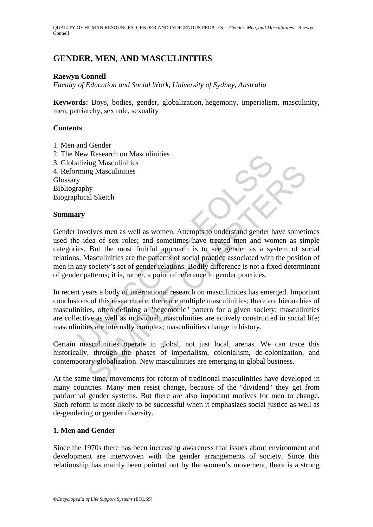QUALITY OF HUMAN RESOURCES: GENDER AND INDIGENOUS PEOPLES – *Gender, Men, and Masculinities* - Raewyn Connell

## **GENDER, MEN, AND MASCULINITIES**

### **Raewyn Connell**

*Faculty of Education and Social Work, University of Sydney, Australia* 

**Keywords:** Boys, bodies, gender, globalization, hegemony, imperialism, masculinity, men, patriarchy, sex role, sexuality

### **Contents**

- 1. Men and Gender
- 2. The New Research on Masculinities
- 3. Globalizing Masculinities
- 4. Reforming Masculinities

Glossary

Bibliography Biographical Sketch

# **Summary**

New Kesearch on Masculinities<br>
nimig Masculinities<br>
ming Masculinities<br>
y<br>
y<br>
involves men as well as women. Attempts to understand gender he<br>
idea of sex roles; and sometimes have treated men and wo<br>
is. But the most frui many Masculinities<br>and Sketch<br>by<br>the al Sketch<br>state of sex roles; and somenimes have treated men and women as sir<br>But the most fruitful approach is to see gender as a system of sc<br>dasculimities are the patterns of social Gender involves men as well as women. Attempts to understand gender have sometimes used the idea of sex roles; and sometimes have treated men and women as simple categories. But the most fruitful approach is to see gender as a system of social relations. Masculinities are the patterns of social practice associated with the position of men in any society's set of gender relations. Bodily difference is not a fixed determinant of gender patterns; it is, rather, a point of reference in gender practices.

In recent years a body of international research on masculinities has emerged. Important conclusions of this research are: there are multiple masculinities; there are hierarchies of masculinities, often defining a "hegemonic" pattern for a given society; masculinities are collective as well as individual; masculinities are actively constructed in social life; masculinities are internally complex; masculinities change in history.

Certain masculinities operate in global, not just local, arenas. We can trace this historically, through the phases of imperialism, colonialism, de-colonization, and contemporary globalization. New masculinities are emerging in global business.

At the same time, movements for reform of traditional masculinities have developed in many countries. Many men resist change, because of the "dividend" they get from patriarchal gender systems. But there are also important motives for men to change. Such reform is most likely to be successful when it emphasizes social justice as well as de-gendering or gender diversity.

### **1. Men and Gender**

Since the 1970s there has been increasing awareness that issues about environment and development are interwoven with the gender arrangements of society. Since this relationship has mainly been pointed out by the women's movement, there is a strong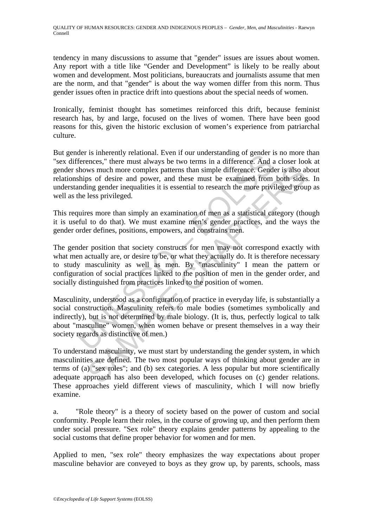tendency in many discussions to assume that "gender" issues are issues about women. Any report with a title like "Gender and Development" is likely to be really about women and development. Most politicians, bureaucrats and journalists assume that men are the norm, and that "gender" is about the way women differ from this norm. Thus gender issues often in practice drift into questions about the special needs of women.

Ironically, feminist thought has sometimes reinforced this drift, because feminist research has, by and large, focused on the lives of women. There have been good reasons for this, given the historic exclusion of women's experience from patriarchal culture.

The multimular and the multimular and the multimular condents.<br>The internal relational contents in a difference. And a shape of the must always be two terms in a difference. Gend<br>ships of desire and power, and these must b But gender is inherently relational. Even if our understanding of gender is no more than "sex differences," there must always be two terms in a difference. And a closer look at gender shows much more complex patterns than simple difference. Gender is also about relationships of desire and power, and these must be examined from both sides. In understanding gender inequalities it is essential to research the more privileged group as well as the less privileged.

This requires more than simply an examination of men as a statistical category (though it is useful to do that). We must examine men's gender practices, and the ways the gender order defines, positions, empowers, and constrains men.

ws much more complex patterns than simple difference. Gender is also also so of desire and power, and these must be examined from both sides ing gender inequalities it is essential to research the more privileged groudes p The gender position that society constructs for men may not correspond exactly with what men actually are, or desire to be, or what they actually do. It is therefore necessary to study masculinity as well as men. By "masculinity" I mean the pattern or configuration of social practices linked to the position of men in the gender order, and socially distinguished from practices linked to the position of women.

Masculinity, understood as a configuration of practice in everyday life, is substantially a social construction. Masculinity refers to male bodies (sometimes symbolically and indirectly), but is not determined by male biology. (It is, thus, perfectly logical to talk about "masculine" women, when women behave or present themselves in a way their society regards as distinctive of men.)

To understand masculinity, we must start by understanding the gender system, in which masculinities are defined. The two most popular ways of thinking about gender are in terms of (a) "sex roles"; and (b) sex categories. A less popular but more scientifically adequate approach has also been developed, which focuses on (c) gender relations. These approaches yield different views of masculinity, which I will now briefly examine.

a. "Role theory" is a theory of society based on the power of custom and social conformity. People learn their roles, in the course of growing up, and then perform them under social pressure. "Sex role" theory explains gender patterns by appealing to the social customs that define proper behavior for women and for men.

Applied to men, "sex role" theory emphasizes the way expectations about proper masculine behavior are conveyed to boys as they grow up, by parents, schools, mass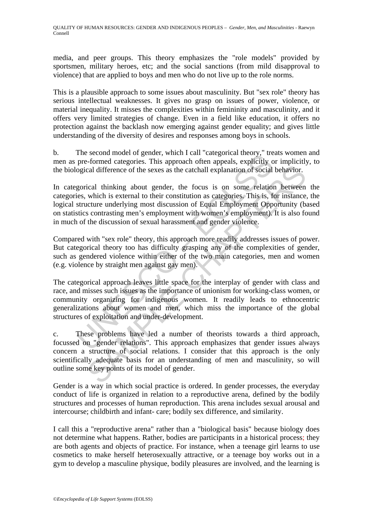media, and peer groups. This theory emphasizes the "role models" provided by sportsmen, military heroes, etc; and the social sanctions (from mild disapproval to violence) that are applied to boys and men who do not live up to the role norms.

This is a plausible approach to some issues about masculinity. But "sex role" theory has serious intellectual weaknesses. It gives no grasp on issues of power, violence, or material inequality. It misses the complexities within femininity and masculinity, and it offers very limited strategies of change. Even in a field like education, it offers no protection against the backlash now emerging against gender equality; and gives little understanding of the diversity of desires and responses among boys in schools.

b. The second model of gender, which I call "categorical theory," treats women and men as pre-formed categories. This approach often appeals, explicitly or implicitly, to the biological difference of the sexes as the catchall explanation of social behavior.

In categorical thinking about gender, the focus is on some relation between the categories, which is external to their constitution as categories. This is, for instance, the logical structure underlying most discussion of Equal Employment Opportunity (based on statistics contrasting men's employment with women's employment). It is also found in much of the discussion of sexual harassment and gender violence.

Compared with "sex role" theory, this approach more readily addresses issues of power. But categorical theory too has difficulty grasping any of the complexities of gender, such as gendered violence within either of the two main categories, men and women (e.g. violence by straight men against gay men).

The second model of gender, which can categorical meony, the second difference of the sexes as the catchall explanation of social<br>gorical difference of the sexes as the catchall explanation of social<br>gorical difference of cal difference of the sexes as the catchall explanation of social behavior.<br>Cal difference of the sexes as the catchall explanation of social behavior.<br>Cal thinking about gender, the focus is on some relation between<br>which The categorical approach leaves little space for the interplay of gender with class and race, and misses such issues as the importance of unionism for working-class women, or community organizing for indigenous women. It readily leads to ethnocentric generalizations about women and men, which miss the importance of the global structures of exploitation and under-development.

c. These problems have led a number of theorists towards a third approach, focussed on "gender relations". This approach emphasizes that gender issues always concern a structure of social relations. I consider that this approach is the only scientifically adequate basis for an understanding of men and masculinity, so will outline some key points of its model of gender.

Gender is a way in which social practice is ordered. In gender processes, the everyday conduct of life is organized in relation to a reproductive arena, defined by the bodily structures and processes of human reproduction. This arena includes sexual arousal and intercourse; childbirth and infant- care; bodily sex difference, and similarity.

I call this a "reproductive arena" rather than a "biological basis" because biology does not determine what happens. Rather, bodies are participants in a historical process; they are both agents and objects of practice. For instance, when a teenage girl learns to use cosmetics to make herself heterosexually attractive, or a teenage boy works out in a gym to develop a masculine physique, bodily pleasures are involved, and the learning is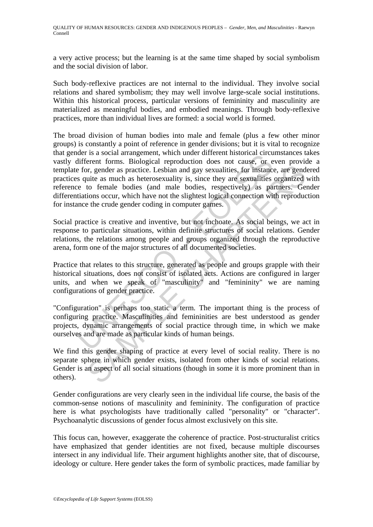a very active process; but the learning is at the same time shaped by social symbolism and the social division of labor.

Such body-reflexive practices are not internal to the individual. They involve social relations and shared symbolism; they may well involve large-scale social institutions. Within this historical process, particular versions of femininity and masculinity are materialized as meaningful bodies, and embodied meanings. Through body-reflexive practices, more than individual lives are formed: a social world is formed.

the is a social antagement, wind unter unit of the correlation of the conduction<br>different forms. Biological reproduction does not cause, or e<br>for, gender as practice. Lesbian and gay sexualities, for instance<br>s quite as m or expectively as method and gay sexualities, for instance, are gend<br>uite as much as heterosexuality is, since they are sexualities organized<br>uite as much as heterosexuality is, since they are sexualities organized<br>to fema The broad division of human bodies into male and female (plus a few other minor groups) is constantly a point of reference in gender divisions; but it is vital to recognize that gender is a social arrangement, which under different historical circumstances takes vastly different forms. Biological reproduction does not cause, or even provide a template for, gender as practice. Lesbian and gay sexualities, for instance, are gendered practices quite as much as heterosexuality is, since they are sexualities organized with reference to female bodies (and male bodies, respectively) as partners. Gender differentiations occur, which have not the slightest logical connection with reproduction for instance the crude gender coding in computer games.

Social practice is creative and inventive, but not inchoate. As social beings, we act in response to particular situations, within definite structures of social relations. Gender relations, the relations among people and groups organized through the reproductive arena, form one of the major structures of all documented societies.

Practice that relates to this structure, generated as people and groups grapple with their historical situations, does not consist of isolated acts. Actions are configured in larger units, and when we speak of "masculinity" and "femininity" we are naming configurations of gender practice.

"Configuration" is perhaps too static a term. The important thing is the process of configuring practice. Masculinities and femininities are best understood as gender projects, dynamic arrangements of social practice through time, in which we make ourselves and are made as particular kinds of human beings.

We find this gender shaping of practice at every level of social reality. There is no separate sphere in which gender exists, isolated from other kinds of social relations. Gender is an aspect of all social situations (though in some it is more prominent than in others).

Gender configurations are very clearly seen in the individual life course, the basis of the common-sense notions of masculinity and femininity. The configuration of practice here is what psychologists have traditionally called "personality" or "character". Psychoanalytic discussions of gender focus almost exclusively on this site.

This focus can, however, exaggerate the coherence of practice. Post-structuralist critics have emphasized that gender identities are not fixed, because multiple discourses intersect in any individual life. Their argument highlights another site, that of discourse, ideology or culture. Here gender takes the form of symbolic practices, made familiar by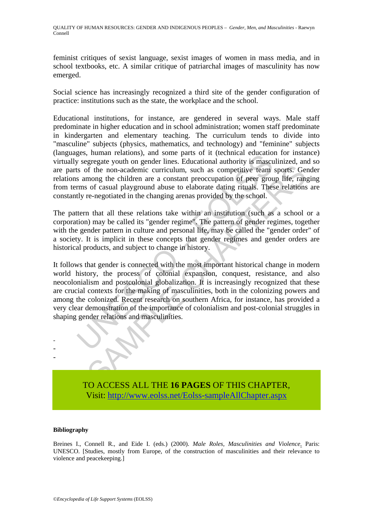feminist critiques of sexist language, sexist images of women in mass media, and in school textbooks, etc. A similar critique of patriarchal images of masculinity has now emerged.

Social science has increasingly recognized a third site of the gender configuration of practice: institutions such as the state, the workplace and the school.

Educational institutions, for instance, are gendered in several ways. Male staff predominate in higher education and in school administration; women staff predominate in kindergarten and elementary teaching. The curriculum tends to divide into "masculine" subjects (physics, mathematics, and technology) and "feminine" subjects (languages, human relations), and some parts of it (technical education for instance) virtually segregate youth on gender lines. Educational authority is masculinized, and so are parts of the non-academic curriculum, such as competitive team sports. Gender relations among the children are a constant preoccupation of peer group life, ranging from terms of casual playground abuse to elaborate dating rituals. These relations are constantly re-negotiated in the changing arenas provided by the school.

The pattern that all these relations take within an institution (such as a school or a corporation) may be called its "gender regime". The pattern of gender regimes, together with the gender pattern in culture and personal life, may be called the "gender order" of a society. It is implicit in these concepts that gender regimes and gender orders are historical products, and subject to change in history.

gest, inuinal relations), and some parts of it (tellman education<br>is egregate youth on gender lines. Educational authority is mascurator<br>s of the non-academic curriculum, such as competitive team<br>s among the children are a Sometimes the interval manufacture of the non-academic curriculum, such as competitive team sports. Get<br>mong the children are a constant preoccupation of peer group life, ranged for casual playground abuse to elaborate dat It follows that gender is connected with the most important historical change in modern world history, the process of colonial expansion, conquest, resistance, and also neocolonialism and postcolonial globalization. It is increasingly recognized that these are crucial contexts for the making of masculinities, both in the colonizing powers and among the colonized. Recent research on southern Africa, for instance, has provided a very clear demonstration of the importance of colonialism and post-colonial struggles in shaping gender relations and masculinities.



TO ACCESS ALL THE **16 PAGES** OF THIS CHAPTER, Visi[t: http://www.eolss.net/Eolss-sampleAllChapter.aspx](https://www.eolss.net/ebooklib/sc_cart.aspx?File=E1-17-02-01)

### **Bibliography**

Breines I., Connell R., and Eide I. (eds.) (2000). *Male Roles, Masculinities and Violence*. Paris: UNESCO. [Studies, mostly from Europe, of the construction of masculinities and their relevance to violence and peacekeeping.]